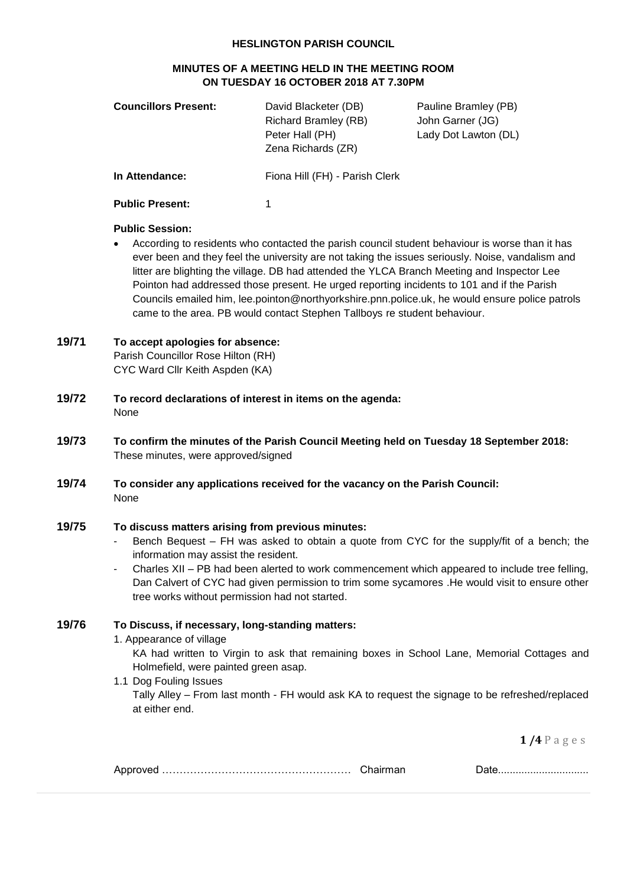#### **HESLINGTON PARISH COUNCIL**

## **MINUTES OF A MEETING HELD IN THE MEETING ROOM ON TUESDAY 16 OCTOBER 2018 AT 7.30PM**

| <b>Councillors Present:</b> | David Blacketer (DB)<br><b>Richard Bramley (RB)</b><br>Peter Hall (PH)<br>Zena Richards (ZR) | Pauline Bramley (PB)<br>John Garner (JG)<br>Lady Dot Lawton (DL) |
|-----------------------------|----------------------------------------------------------------------------------------------|------------------------------------------------------------------|
| In Attendance:              | Fiona Hill (FH) - Parish Clerk                                                               |                                                                  |
| <b>Public Present:</b>      |                                                                                              |                                                                  |

#### **Public Session:**

 According to residents who contacted the parish council student behaviour is worse than it has ever been and they feel the university are not taking the issues seriously. Noise, vandalism and litter are blighting the village. DB had attended the YLCA Branch Meeting and Inspector Lee Pointon had addressed those present. He urged reporting incidents to 101 and if the Parish Councils emailed him, lee.pointon@northyorkshire.pnn.police.uk, he would ensure police patrols came to the area. PB would contact Stephen Tallboys re student behaviour.

# **19/71 To accept apologies for absence:**

Parish Councillor Rose Hilton (RH) CYC Ward Cllr Keith Aspden (KA)

- **19/72 To record declarations of interest in items on the agenda:** None
- **19/73 To confirm the minutes of the Parish Council Meeting held on Tuesday 18 September 2018:** These minutes, were approved/signed
- **19/74 To consider any applications received for the vacancy on the Parish Council:** None

## **19/75 To discuss matters arising from previous minutes:**

- Bench Bequest FH was asked to obtain a quote from CYC for the supply/fit of a bench; the information may assist the resident.
- Charles XII PB had been alerted to work commencement which appeared to include tree felling, Dan Calvert of CYC had given permission to trim some sycamores .He would visit to ensure other tree works without permission had not started.

### **19/76 To Discuss, if necessary, long-standing matters:**

1. Appearance of village

KA had written to Virgin to ask that remaining boxes in School Lane, Memorial Cottages and Holmefield, were painted green asap.

1.1 Dog Fouling Issues

Tally Alley – From last month - FH would ask KA to request the signage to be refreshed/replaced at either end.

**1 /4** P a g e s

|--|--|--|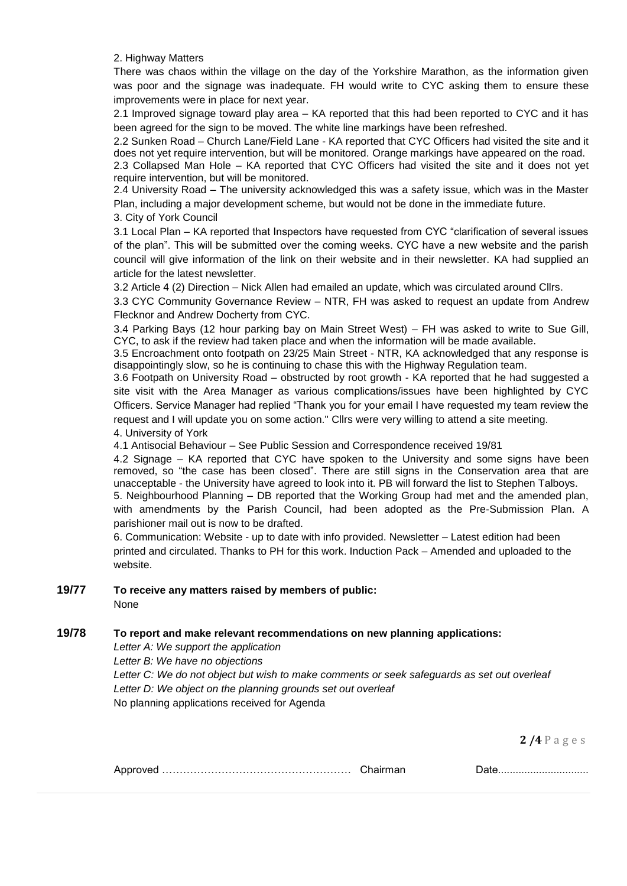2. Highway Matters

There was chaos within the village on the day of the Yorkshire Marathon, as the information given was poor and the signage was inadeguate. FH would write to CYC asking them to ensure these improvements were in place for next year.

2.1 Improved signage toward play area – KA reported that this had been reported to CYC and it has been agreed for the sign to be moved. The white line markings have been refreshed.

2.2 Sunken Road – Church Lane/Field Lane - KA reported that CYC Officers had visited the site and it does not yet require intervention, but will be monitored. Orange markings have appeared on the road. 2.3 Collapsed Man Hole – KA reported that CYC Officers had visited the site and it does not yet

require intervention, but will be monitored. 2.4 University Road – The university acknowledged this was a safety issue, which was in the Master

Plan, including a major development scheme, but would not be done in the immediate future.

3. City of York Council

3.1 Local Plan – KA reported that Inspectors have requested from CYC "clarification of several issues of the plan". This will be submitted over the coming weeks. CYC have a new website and the parish council will give information of the link on their website and in their newsletter. KA had supplied an article for the latest newsletter.

3.2 Article 4 (2) Direction – Nick Allen had emailed an update, which was circulated around Cllrs.

3.3 CYC Community Governance Review – NTR, FH was asked to request an update from Andrew Flecknor and Andrew Docherty from CYC.

3.4 Parking Bays (12 hour parking bay on Main Street West) – FH was asked to write to Sue Gill, CYC, to ask if the review had taken place and when the information will be made available.

3.5 Encroachment onto footpath on 23/25 Main Street - NTR, KA acknowledged that any response is disappointingly slow, so he is continuing to chase this with the Highway Regulation team.

3.6 Footpath on University Road – obstructed by root growth - KA reported that he had suggested a site visit with the Area Manager as various complications/issues have been highlighted by CYC Officers. Service Manager had replied "Thank you for your email I have requested my team review the request and I will update you on some action." Cllrs were very willing to attend a site meeting. 4. University of York

4.1 Antisocial Behaviour – See Public Session and Correspondence received 19/81

4.2 Signage – KA reported that CYC have spoken to the University and some signs have been removed, so "the case has been closed". There are still signs in the Conservation area that are unacceptable - the University have agreed to look into it. PB will forward the list to Stephen Talboys. 5. Neighbourhood Planning – DB reported that the Working Group had met and the amended plan, with amendments by the Parish Council, had been adopted as the Pre-Submission Plan. A parishioner mail out is now to be drafted.

6. Communication: Website - up to date with info provided. Newsletter – Latest edition had been printed and circulated. Thanks to PH for this work. Induction Pack – Amended and uploaded to the website.

# **19/77 To receive any matters raised by members of public:**

None

## **19/78 To report and make relevant recommendations on new planning applications:**

*Letter A: We support the application*

*Letter B: We have no objections*

*Letter C: We do not object but wish to make comments or seek safeguards as set out overleaf Letter D: We object on the planning grounds set out overleaf* No planning applications received for Agenda

**2 /4** P a g e s

|  | Chairman |  |
|--|----------|--|
|--|----------|--|

.e………………………………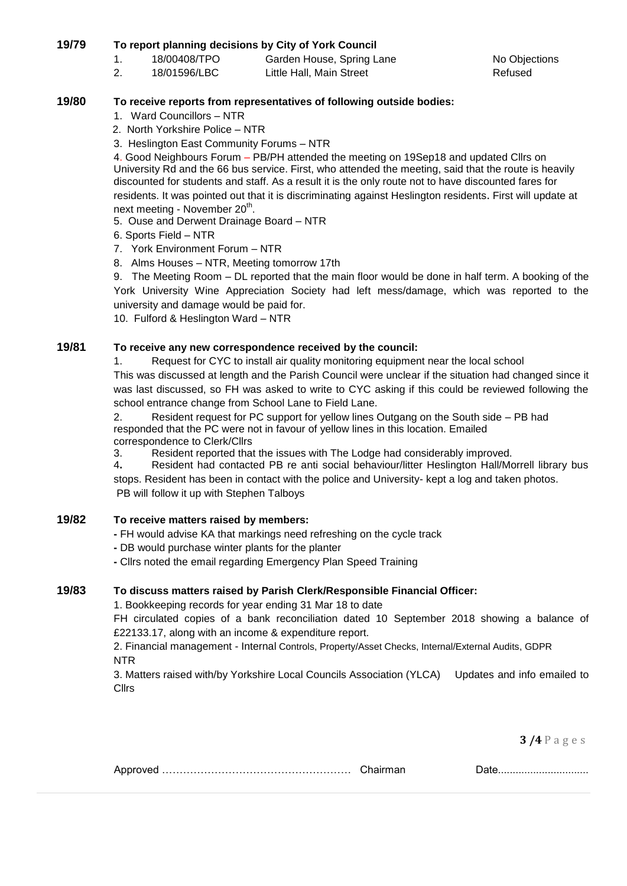## **19/79 To report planning decisions by City of York Council**

- 1. 18/00408/TPO Garden House, Spring Lane Contract No Objections
- 2. 18/01596/LBC Little Hall, Main Street Refused

## **19/80 To receive reports from representatives of following outside bodies:**

- 1. Ward Councillors NTR
- 2. North Yorkshire Police NTR
- 3. Heslington East Community Forums NTR

4. Good Neighbours Forum – PB/PH attended the meeting on 19Sep18 and updated Cllrs on University Rd and the 66 bus service. First, who attended the meeting, said that the route is heavily discounted for students and staff. As a result it is the only route not to have discounted fares for residents. It was pointed out that it is discriminating against Heslington residents. First will update at next meeting - November 20<sup>th</sup>.

- 5. Ouse and Derwent Drainage Board NTR
- 6. Sports Field NTR
- 7. York Environment Forum NTR
- 8. Alms Houses NTR, Meeting tomorrow 17th

9. The Meeting Room – DL reported that the main floor would be done in half term. A booking of the York University Wine Appreciation Society had left mess/damage, which was reported to the university and damage would be paid for.

10. Fulford & Heslington Ward – NTR

## **19/81 To receive any new correspondence received by the council:**

1. Request for CYC to install air quality monitoring equipment near the local school This was discussed at length and the Parish Council were unclear if the situation had changed since it was last discussed, so FH was asked to write to CYC asking if this could be reviewed following the school entrance change from School Lane to Field Lane.

2. Resident request for PC support for yellow lines Outgang on the South side – PB had responded that the PC were not in favour of yellow lines in this location. Emailed correspondence to Clerk/Cllrs

3. Resident reported that the issues with The Lodge had considerably improved.

4**.** Resident had contacted PB re anti social behaviour/litter Heslington Hall/Morrell library bus stops. Resident has been in contact with the police and University- kept a log and taken photos. PB will follow it up with Stephen Talboys

### **19/82 To receive matters raised by members:**

- **-** FH would advise KA that markings need refreshing on the cycle track
- **-** DB would purchase winter plants for the planter
- **-** Cllrs noted the email regarding Emergency Plan Speed Training

## **19/83 To discuss matters raised by Parish Clerk/Responsible Financial Officer:**

1. Bookkeeping records for year ending 31 Mar 18 to date

FH circulated copies of a bank reconciliation dated 10 September 2018 showing a balance of £22133.17, along with an income & expenditure report.

2. Financial management - Internal Controls, Property/Asset Checks, Internal/External Audits, GDPR NTR

3. Matters raised with/by Yorkshire Local Councils Association (YLCA) Updates and info emailed to **Cllrs** 

**3 /4** P a g e s

|--|--|--|